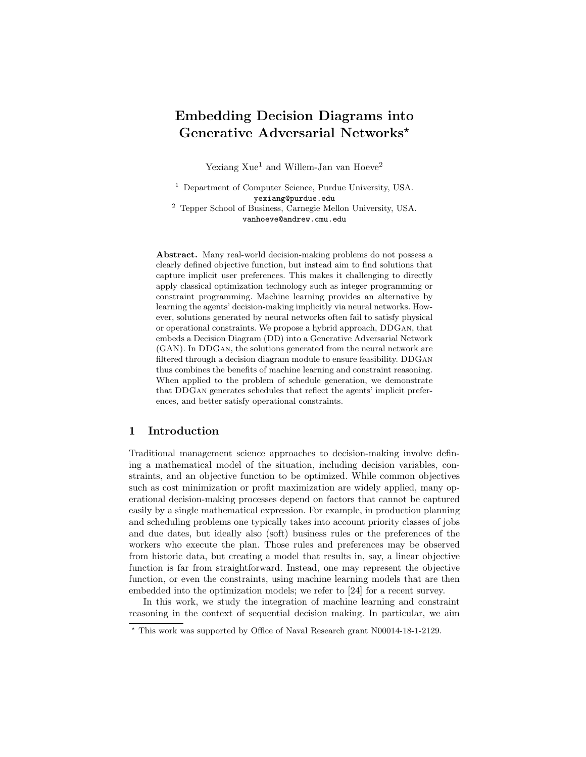# Embedding Decision Diagrams into Generative Adversarial Networks<sup>\*</sup>

Yexiang  $Xue<sup>1</sup>$  and Willem-Jan van Hoeve<sup>2</sup>

<sup>1</sup> Department of Computer Science, Purdue University, USA. yexiang@purdue.edu <sup>2</sup> Tepper School of Business, Carnegie Mellon University, USA. vanhoeve@andrew.cmu.edu

Abstract. Many real-world decision-making problems do not possess a clearly defined objective function, but instead aim to find solutions that capture implicit user preferences. This makes it challenging to directly apply classical optimization technology such as integer programming or constraint programming. Machine learning provides an alternative by learning the agents' decision-making implicitly via neural networks. However, solutions generated by neural networks often fail to satisfy physical or operational constraints. We propose a hybrid approach, DDGan, that embeds a Decision Diagram (DD) into a Generative Adversarial Network (GAN). In DDGan, the solutions generated from the neural network are filtered through a decision diagram module to ensure feasibility. DDGan thus combines the benefits of machine learning and constraint reasoning. When applied to the problem of schedule generation, we demonstrate that DDGan generates schedules that reflect the agents' implicit preferences, and better satisfy operational constraints.

## 1 Introduction

Traditional management science approaches to decision-making involve defining a mathematical model of the situation, including decision variables, constraints, and an objective function to be optimized. While common objectives such as cost minimization or profit maximization are widely applied, many operational decision-making processes depend on factors that cannot be captured easily by a single mathematical expression. For example, in production planning and scheduling problems one typically takes into account priority classes of jobs and due dates, but ideally also (soft) business rules or the preferences of the workers who execute the plan. Those rules and preferences may be observed from historic data, but creating a model that results in, say, a linear objective function is far from straightforward. Instead, one may represent the objective function, or even the constraints, using machine learning models that are then embedded into the optimization models; we refer to [24] for a recent survey.

In this work, we study the integration of machine learning and constraint reasoning in the context of sequential decision making. In particular, we aim

<sup>?</sup> This work was supported by Office of Naval Research grant N00014-18-1-2129.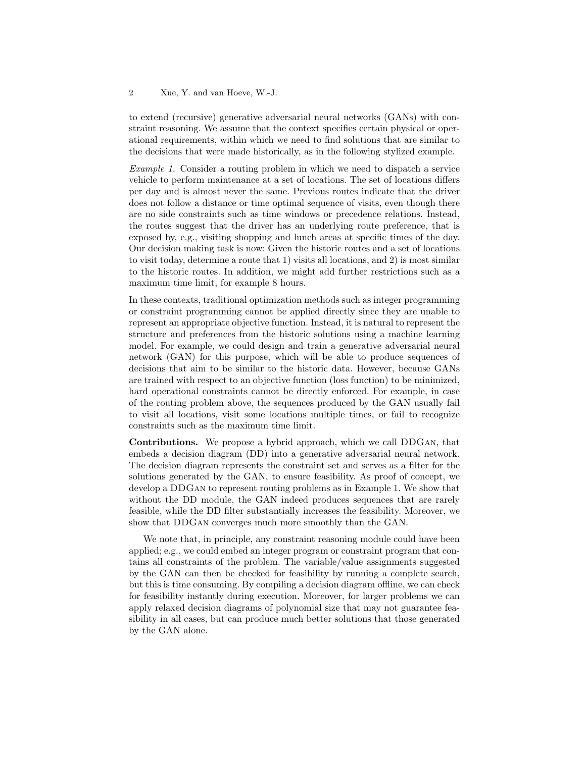to extend (recursive) generative adversarial neural networks (GANs) with constraint reasoning. We assume that the context specifies certain physical or operational requirements, within which we need to find solutions that are similar to the decisions that were made historically, as in the following stylized example.

Example 1. Consider a routing problem in which we need to dispatch a service vehicle to perform maintenance at a set of locations. The set of locations differs per day and is almost never the same. Previous routes indicate that the driver does not follow a distance or time optimal sequence of visits, even though there are no side constraints such as time windows or precedence relations. Instead, the routes suggest that the driver has an underlying route preference, that is exposed by, e.g., visiting shopping and lunch areas at specific times of the day. Our decision making task is now: Given the historic routes and a set of locations to visit today, determine a route that 1) visits all locations, and 2) is most similar to the historic routes. In addition, we might add further restrictions such as a maximum time limit, for example 8 hours.

In these contexts, traditional optimization methods such as integer programming or constraint programming cannot be applied directly since they are unable to represent an appropriate objective function. Instead, it is natural to represent the structure and preferences from the historic solutions using a machine learning model. For example, we could design and train a generative adversarial neural network (GAN) for this purpose, which will be able to produce sequences of decisions that aim to be similar to the historic data. However, because GANs are trained with respect to an objective function (loss function) to be minimized, hard operational constraints cannot be directly enforced. For example, in case of the routing problem above, the sequences produced by the GAN usually fail to visit all locations, visit some locations multiple times, or fail to recognize constraints such as the maximum time limit.

Contributions. We propose a hybrid approach, which we call DDGan, that embeds a decision diagram (DD) into a generative adversarial neural network. The decision diagram represents the constraint set and serves as a filter for the solutions generated by the GAN, to ensure feasibility. As proof of concept, we develop a DDGan to represent routing problems as in Example 1. We show that without the DD module, the GAN indeed produces sequences that are rarely feasible, while the DD filter substantially increases the feasibility. Moreover, we show that DDGan converges much more smoothly than the GAN.

We note that, in principle, any constraint reasoning module could have been applied; e.g., we could embed an integer program or constraint program that contains all constraints of the problem. The variable/value assignments suggested by the GAN can then be checked for feasibility by running a complete search, but this is time consuming. By compiling a decision diagram offline, we can check for feasibility instantly during execution. Moreover, for larger problems we can apply relaxed decision diagrams of polynomial size that may not guarantee feasibility in all cases, but can produce much better solutions that those generated by the GAN alone.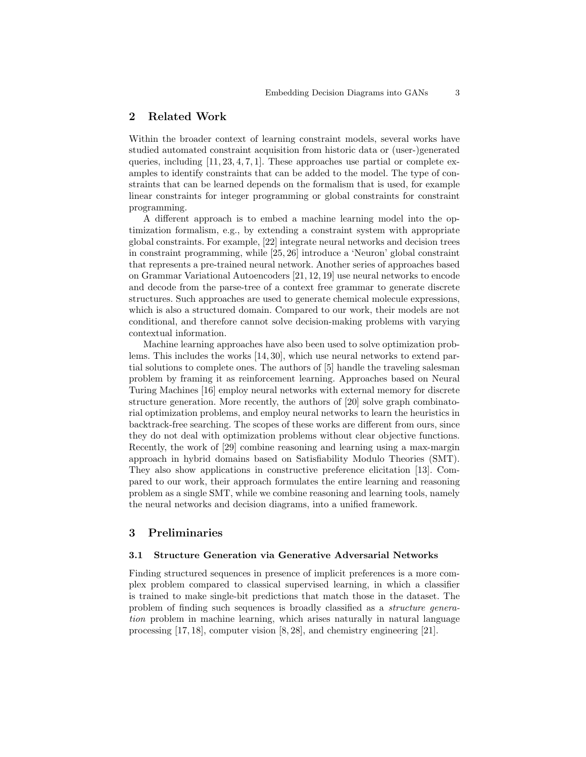# 2 Related Work

Within the broader context of learning constraint models, several works have studied automated constraint acquisition from historic data or (user-)generated queries, including  $[11, 23, 4, 7, 1]$ . These approaches use partial or complete examples to identify constraints that can be added to the model. The type of constraints that can be learned depends on the formalism that is used, for example linear constraints for integer programming or global constraints for constraint programming.

A different approach is to embed a machine learning model into the optimization formalism, e.g., by extending a constraint system with appropriate global constraints. For example, [22] integrate neural networks and decision trees in constraint programming, while [25, 26] introduce a 'Neuron' global constraint that represents a pre-trained neural network. Another series of approaches based on Grammar Variational Autoencoders [21, 12, 19] use neural networks to encode and decode from the parse-tree of a context free grammar to generate discrete structures. Such approaches are used to generate chemical molecule expressions, which is also a structured domain. Compared to our work, their models are not conditional, and therefore cannot solve decision-making problems with varying contextual information.

Machine learning approaches have also been used to solve optimization problems. This includes the works [14, 30], which use neural networks to extend partial solutions to complete ones. The authors of [5] handle the traveling salesman problem by framing it as reinforcement learning. Approaches based on Neural Turing Machines [16] employ neural networks with external memory for discrete structure generation. More recently, the authors of [20] solve graph combinatorial optimization problems, and employ neural networks to learn the heuristics in backtrack-free searching. The scopes of these works are different from ours, since they do not deal with optimization problems without clear objective functions. Recently, the work of [29] combine reasoning and learning using a max-margin approach in hybrid domains based on Satisfiability Modulo Theories (SMT). They also show applications in constructive preference elicitation [13]. Compared to our work, their approach formulates the entire learning and reasoning problem as a single SMT, while we combine reasoning and learning tools, namely the neural networks and decision diagrams, into a unified framework.

#### 3 Preliminaries

#### 3.1 Structure Generation via Generative Adversarial Networks

Finding structured sequences in presence of implicit preferences is a more complex problem compared to classical supervised learning, in which a classifier is trained to make single-bit predictions that match those in the dataset. The problem of finding such sequences is broadly classified as a structure generation problem in machine learning, which arises naturally in natural language processing [17, 18], computer vision [8, 28], and chemistry engineering [21].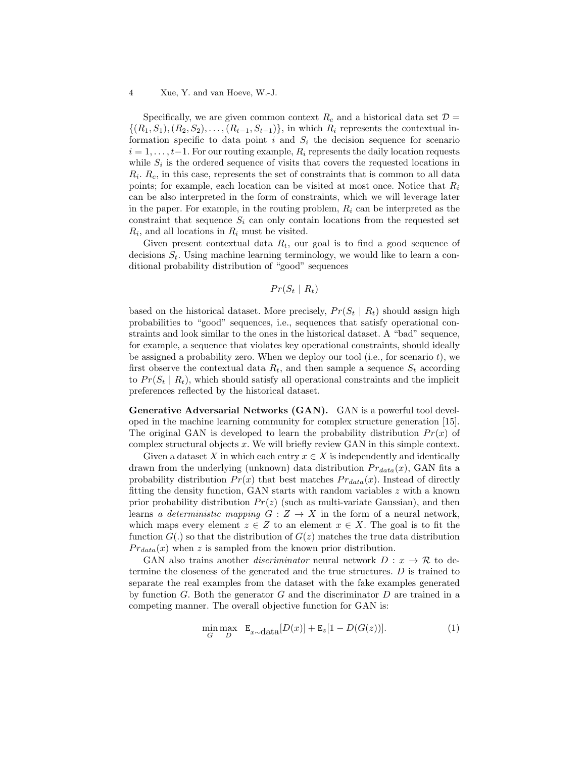#### 4 Xue, Y. and van Hoeve, W.-J.

Specifically, we are given common context  $R_c$  and a historical data set  $\mathcal{D} =$  $\{(R_1, S_1), (R_2, S_2), \ldots, (R_{t-1}, S_{t-1})\}\$ , in which  $R_i$  represents the contextual information specific to data point i and  $S_i$  the decision sequence for scenario  $i = 1, \ldots, t-1$ . For our routing example,  $R_i$  represents the daily location requests while  $S_i$  is the ordered sequence of visits that covers the requested locations in  $R_i$ .  $R_c$ , in this case, represents the set of constraints that is common to all data points; for example, each location can be visited at most once. Notice that  $R_i$ can be also interpreted in the form of constraints, which we will leverage later in the paper. For example, in the routing problem,  $R_i$  can be interpreted as the constraint that sequence  $S_i$  can only contain locations from the requested set  $R_i$ , and all locations in  $R_i$  must be visited.

Given present contextual data  $R_t$ , our goal is to find a good sequence of decisions  $S_t$ . Using machine learning terminology, we would like to learn a conditional probability distribution of "good" sequences

 $Pr(S_t | R_t)$ 

based on the historical dataset. More precisely,  $Pr(S_t | R_t)$  should assign high probabilities to "good" sequences, i.e., sequences that satisfy operational constraints and look similar to the ones in the historical dataset. A "bad" sequence, for example, a sequence that violates key operational constraints, should ideally be assigned a probability zero. When we deploy our tool (i.e., for scenario  $t$ ), we first observe the contextual data  $R_t$ , and then sample a sequence  $S_t$  according to  $Pr(S_t | R_t)$ , which should satisfy all operational constraints and the implicit preferences reflected by the historical dataset.

Generative Adversarial Networks (GAN). GAN is a powerful tool developed in the machine learning community for complex structure generation [15]. The original GAN is developed to learn the probability distribution  $Pr(x)$  of complex structural objects  $x$ . We will briefly review GAN in this simple context.

Given a dataset X in which each entry  $x \in X$  is independently and identically drawn from the underlying (unknown) data distribution  $Pr_{data}(x)$ , GAN fits a probability distribution  $Pr(x)$  that best matches  $Pr_{data}(x)$ . Instead of directly fitting the density function, GAN starts with random variables z with a known prior probability distribution  $Pr(z)$  (such as multi-variate Gaussian), and then learns a deterministic mapping  $G: Z \to X$  in the form of a neural network, which maps every element  $z \in Z$  to an element  $x \in X$ . The goal is to fit the function  $G(.)$  so that the distribution of  $G(z)$  matches the true data distribution  $Pr_{data}(x)$  when z is sampled from the known prior distribution.

GAN also trains another *discriminator* neural network  $D: x \to \mathcal{R}$  to determine the closeness of the generated and the true structures. D is trained to separate the real examples from the dataset with the fake examples generated by function  $G$ . Both the generator  $G$  and the discriminator  $D$  are trained in a competing manner. The overall objective function for GAN is:

$$
\min_{G} \max_{D} \mathbf{E}_{x \sim \text{data}}[D(x)] + \mathbf{E}_{z}[1 - D(G(z))]. \tag{1}
$$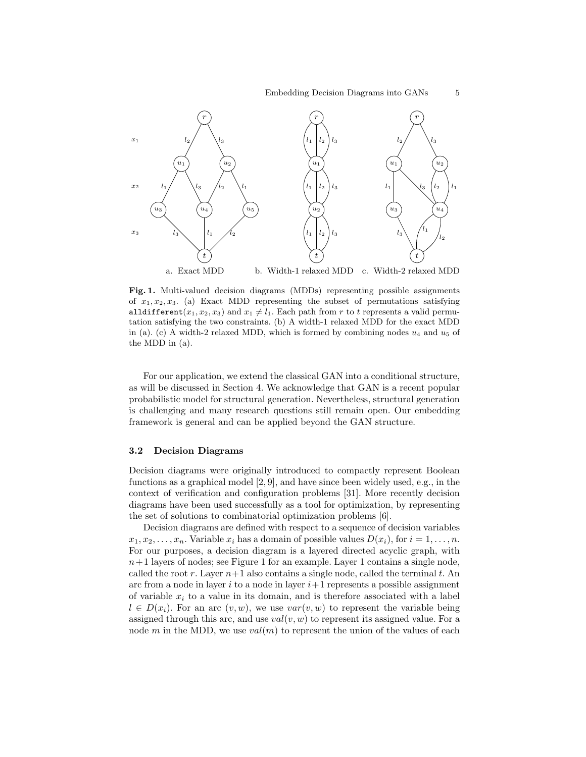

Fig. 1. Multi-valued decision diagrams (MDDs) representing possible assignments of  $x_1, x_2, x_3$ . (a) Exact MDD representing the subset of permutations satisfying all different  $(x_1, x_2, x_3)$  and  $x_1 \neq l_1$ . Each path from r to t represents a valid permutation satisfying the two constraints. (b) A width-1 relaxed MDD for the exact MDD in (a). (c) A width-2 relaxed MDD, which is formed by combining nodes  $u_4$  and  $u_5$  of the MDD in (a).

For our application, we extend the classical GAN into a conditional structure, as will be discussed in Section 4. We acknowledge that GAN is a recent popular probabilistic model for structural generation. Nevertheless, structural generation is challenging and many research questions still remain open. Our embedding framework is general and can be applied beyond the GAN structure.

#### 3.2 Decision Diagrams

Decision diagrams were originally introduced to compactly represent Boolean functions as a graphical model  $[2, 9]$ , and have since been widely used, e.g., in the context of verification and configuration problems [31]. More recently decision diagrams have been used successfully as a tool for optimization, by representing the set of solutions to combinatorial optimization problems [6].

Decision diagrams are defined with respect to a sequence of decision variables  $x_1, x_2, \ldots, x_n$ . Variable  $x_i$  has a domain of possible values  $D(x_i)$ , for  $i = 1, \ldots, n$ . For our purposes, a decision diagram is a layered directed acyclic graph, with  $n+1$  layers of nodes; see Figure 1 for an example. Layer 1 contains a single node, called the root r. Layer  $n+1$  also contains a single node, called the terminal t. An arc from a node in layer i to a node in layer  $i+1$  represents a possible assignment of variable  $x_i$  to a value in its domain, and is therefore associated with a label  $l \in D(x_i)$ . For an arc  $(v, w)$ , we use  $var(v, w)$  to represent the variable being assigned through this arc, and use  $val(v, w)$  to represent its assigned value. For a node m in the MDD, we use  $val(m)$  to represent the union of the values of each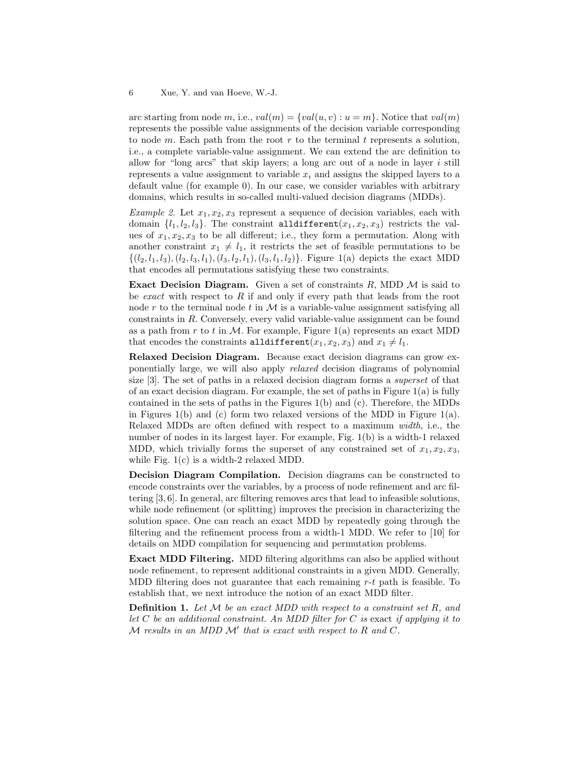arc starting from node m, i.e.,  $val(m) = \{val(u, v) : u = m\}$ . Notice that  $val(m)$ represents the possible value assignments of the decision variable corresponding to node m. Each path from the root  $r$  to the terminal  $t$  represents a solution, i.e., a complete variable-value assignment. We can extend the arc definition to allow for "long arcs" that skip layers; a long arc out of a node in layer  $i$  still represents a value assignment to variable  $x_i$  and assigns the skipped layers to a default value (for example 0). In our case, we consider variables with arbitrary domains, which results in so-called multi-valued decision diagrams (MDDs).

Example 2. Let  $x_1, x_2, x_3$  represent a sequence of decision variables, each with domain  $\{l_1, l_2, l_3\}$ . The constraint alldifferent $(x_1, x_2, x_3)$  restricts the values of  $x_1, x_2, x_3$  to be all different; i.e., they form a permutation. Along with another constraint  $x_1 \neq l_1$ , it restricts the set of feasible permutations to be  $\{(l_2, l_1, l_3), (l_2, l_3, l_1), (l_3, l_2, l_1), (l_3, l_1, l_2)\}\.$  Figure 1(a) depicts the exact MDD that encodes all permutations satisfying these two constraints.

**Exact Decision Diagram.** Given a set of constraints  $R$ , MDD  $\mathcal{M}$  is said to be exact with respect to  $R$  if and only if every path that leads from the root node r to the terminal node t in  $\mathcal M$  is a variable-value assignment satisfying all constraints in R. Conversely, every valid variable-value assignment can be found as a path from r to t in  $\mathcal M$ . For example, Figure 1(a) represents an exact MDD that encodes the constraints all different  $(x_1, x_2, x_3)$  and  $x_1 \neq l_1$ .

Relaxed Decision Diagram. Because exact decision diagrams can grow exponentially large, we will also apply relaxed decision diagrams of polynomial size [3]. The set of paths in a relaxed decision diagram forms a superset of that of an exact decision diagram. For example, the set of paths in Figure  $1(a)$  is fully contained in the sets of paths in the Figures 1(b) and (c). Therefore, the MDDs in Figures 1(b) and (c) form two relaxed versions of the MDD in Figure 1(a). Relaxed MDDs are often defined with respect to a maximum width, i.e., the number of nodes in its largest layer. For example, Fig. 1(b) is a width-1 relaxed MDD, which trivially forms the superset of any constrained set of  $x_1, x_2, x_3$ , while Fig. 1(c) is a width-2 relaxed MDD.

Decision Diagram Compilation. Decision diagrams can be constructed to encode constraints over the variables, by a process of node refinement and arc filtering [3, 6]. In general, arc filtering removes arcs that lead to infeasible solutions, while node refinement (or splitting) improves the precision in characterizing the solution space. One can reach an exact MDD by repeatedly going through the filtering and the refinement process from a width-1 MDD. We refer to [10] for details on MDD compilation for sequencing and permutation problems.

Exact MDD Filtering. MDD filtering algorithms can also be applied without node refinement, to represent additional constraints in a given MDD. Generally, MDD filtering does not guarantee that each remaining  $r-t$  path is feasible. To establish that, we next introduce the notion of an exact MDD filter.

**Definition 1.** Let  $\mathcal M$  be an exact MDD with respect to a constraint set R, and let  $C$  be an additional constraint. An MDD filter for  $C$  is exact if applying it to  $M$  results in an MDD  $M'$  that is exact with respect to R and C.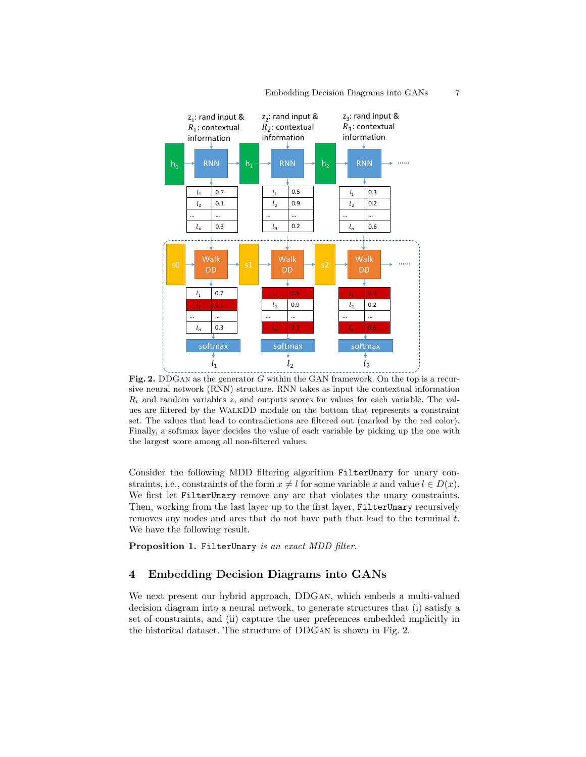

Fig. 2. DDGAN as the generator  $G$  within the GAN framework. On the top is a recursive neural network (RNN) structure. RNN takes as input the contextual information  $R_t$  and random variables z, and outputs scores for values for each variable. The values are filtered by the WalkDD module on the bottom that represents a constraint set. The values that lead to contradictions are filtered out (marked by the red color). Finally, a softmax layer decides the value of each variable by picking up the one with the largest score among all non-filtered values.

Consider the following MDD filtering algorithm FilterUnary for unary constraints, i.e., constraints of the form  $x \neq l$  for some variable x and value  $l \in D(x)$ . We first let FilterUnary remove any arc that violates the unary constraints. Then, working from the last layer up to the first layer, FilterUnary recursively removes any nodes and arcs that do not have path that lead to the terminal t. We have the following result.

Proposition 1. FilterUnary is an exact MDD filter.

## 4 Embedding Decision Diagrams into GANs

We next present our hybrid approach, DDGan, which embeds a multi-valued decision diagram into a neural network, to generate structures that (i) satisfy a set of constraints, and (ii) capture the user preferences embedded implicitly in the historical dataset. The structure of DDGan is shown in Fig. 2.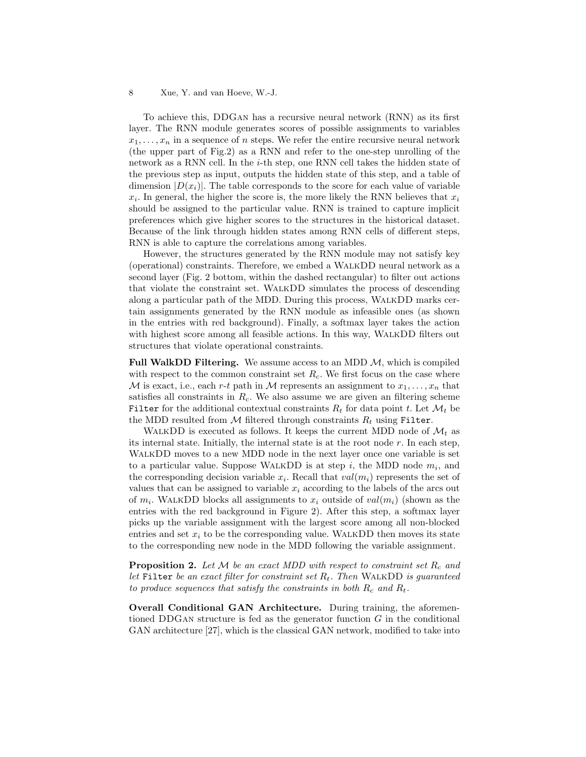#### 8 Xue, Y. and van Hoeve, W.-J.

To achieve this, DDGan has a recursive neural network (RNN) as its first layer. The RNN module generates scores of possible assignments to variables  $x_1, \ldots, x_n$  in a sequence of n steps. We refer the entire recursive neural network (the upper part of Fig.2) as a RNN and refer to the one-step unrolling of the network as a RNN cell. In the i-th step, one RNN cell takes the hidden state of the previous step as input, outputs the hidden state of this step, and a table of dimension  $|D(x_i)|$ . The table corresponds to the score for each value of variable  $x_i$ . In general, the higher the score is, the more likely the RNN believes that  $x_i$ should be assigned to the particular value. RNN is trained to capture implicit preferences which give higher scores to the structures in the historical dataset. Because of the link through hidden states among RNN cells of different steps, RNN is able to capture the correlations among variables.

However, the structures generated by the RNN module may not satisfy key (operational) constraints. Therefore, we embed a WalkDD neural network as a second layer (Fig. 2 bottom, within the dashed rectangular) to filter out actions that violate the constraint set. WalkDD simulates the process of descending along a particular path of the MDD. During this process, WalkDD marks certain assignments generated by the RNN module as infeasible ones (as shown in the entries with red background). Finally, a softmax layer takes the action with highest score among all feasible actions. In this way, WalkDD filters out structures that violate operational constraints.

Full WalkDD Filtering. We assume access to an MDD  $M$ , which is compiled with respect to the common constraint set  $R_c$ . We first focus on the case where M is exact, i.e., each r-t path in M represents an assignment to  $x_1, \ldots, x_n$  that satisfies all constraints in  $R_c$ . We also assume we are given an filtering scheme Filter for the additional contextual constraints  $R_t$  for data point t. Let  $\mathcal{M}_t$  be the MDD resulted from  $M$  filtered through constraints  $R_t$  using Filter.

WALKDD is executed as follows. It keeps the current MDD node of  $\mathcal{M}_t$  as its internal state. Initially, the internal state is at the root node  $r$ . In each step, WalkDD moves to a new MDD node in the next layer once one variable is set to a particular value. Suppose WALKDD is at step  $i$ , the MDD node  $m_i$ , and the corresponding decision variable  $x_i$ . Recall that  $val(m_i)$  represents the set of values that can be assigned to variable  $x_i$  according to the labels of the arcs out of  $m_i$ . WALKDD blocks all assignments to  $x_i$  outside of  $val(m_i)$  (shown as the entries with the red background in Figure 2). After this step, a softmax layer picks up the variable assignment with the largest score among all non-blocked entries and set  $x_i$  to be the corresponding value. WALKDD then moves its state to the corresponding new node in the MDD following the variable assignment.

**Proposition 2.** Let M be an exact MDD with respect to constraint set  $R_c$  and let Filter be an exact filter for constraint set  $R_t$ . Then WALKDD is guaranteed to produce sequences that satisfy the constraints in both  $R_c$  and  $R_t$ .

Overall Conditional GAN Architecture. During training, the aforementioned DDGAN structure is fed as the generator function  $G$  in the conditional GAN architecture [27], which is the classical GAN network, modified to take into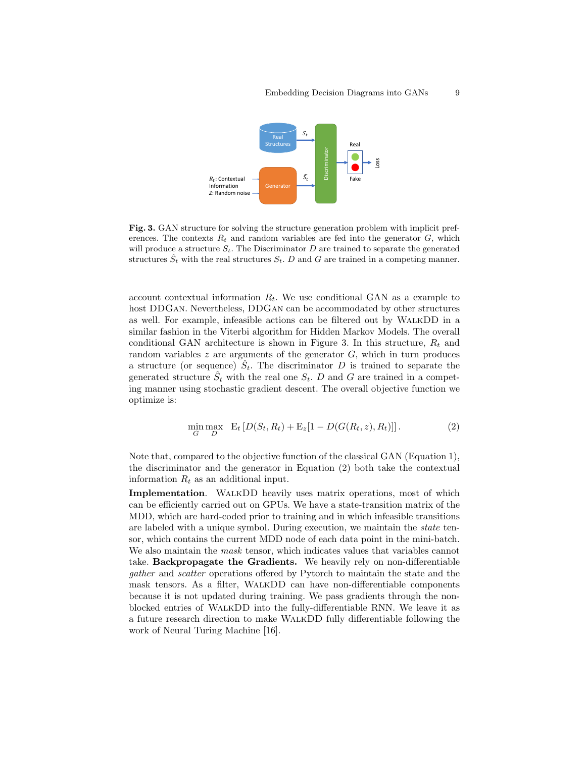

Fig. 3. GAN structure for solving the structure generation problem with implicit preferences. The contexts  $R_t$  and random variables are fed into the generator  $G$ , which will produce a structure  $S_t$ . The Discriminator  $D$  are trained to separate the generated structures  $S_t$  with the real structures  $S_t$ . D and G are trained in a competing manner.

account contextual information  $R_t$ . We use conditional GAN as a example to host DDGan. Nevertheless, DDGan can be accommodated by other structures as well. For example, infeasible actions can be filtered out by WalkDD in a similar fashion in the Viterbi algorithm for Hidden Markov Models. The overall conditional GAN architecture is shown in Figure 3. In this structure,  $R_t$  and random variables  $z$  are arguments of the generator  $G$ , which in turn produces a structure (or sequence)  $\hat{S}_t$ . The discriminator D is trained to separate the generated structure  $\hat{S}_t$  with the real one  $S_t$ . D and G are trained in a competing manner using stochastic gradient descent. The overall objective function we optimize is:

$$
\min_{G} \max_{D} \ \mathbf{E}_{t} \left[ D(S_{t}, R_{t}) + \mathbf{E}_{z} [1 - D(G(R_{t}, z), R_{t})] \right]. \tag{2}
$$

Note that, compared to the objective function of the classical GAN (Equation 1), the discriminator and the generator in Equation (2) both take the contextual information  $R_t$  as an additional input.

Implementation. WalkDD heavily uses matrix operations, most of which can be efficiently carried out on GPUs. We have a state-transition matrix of the MDD, which are hard-coded prior to training and in which infeasible transitions are labeled with a unique symbol. During execution, we maintain the state tensor, which contains the current MDD node of each data point in the mini-batch. We also maintain the *mask* tensor, which indicates values that variables cannot take. Backpropagate the Gradients. We heavily rely on non-differentiable gather and scatter operations offered by Pytorch to maintain the state and the mask tensors. As a filter, WalkDD can have non-differentiable components because it is not updated during training. We pass gradients through the nonblocked entries of WalkDD into the fully-differentiable RNN. We leave it as a future research direction to make WalkDD fully differentiable following the work of Neural Turing Machine [16].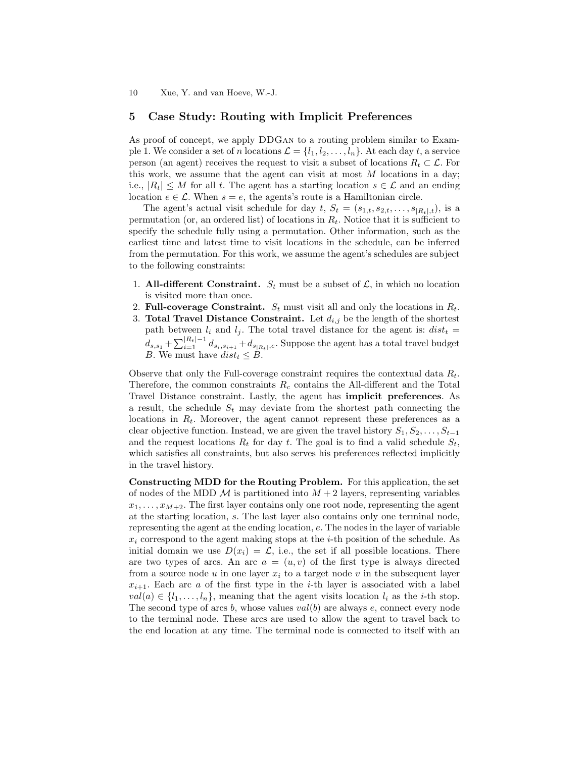10 Xue, Y. and van Hoeve, W.-J.

#### 5 Case Study: Routing with Implicit Preferences

As proof of concept, we apply DDGan to a routing problem similar to Example 1. We consider a set of n locations  $\mathcal{L} = \{l_1, l_2, \ldots, l_n\}$ . At each day t, a service person (an agent) receives the request to visit a subset of locations  $R_t \subset \mathcal{L}$ . For this work, we assume that the agent can visit at most  $M$  locations in a day; i.e.,  $|R_t| \leq M$  for all t. The agent has a starting location  $s \in \mathcal{L}$  and an ending location  $e \in \mathcal{L}$ . When  $s = e$ , the agents's route is a Hamiltonian circle.

The agent's actual visit schedule for day  $t, S_t = (s_{1,t}, s_{2,t}, \ldots, s_{|R_t|,t}),$  is a permutation (or, an ordered list) of locations in  $R_t$ . Notice that it is sufficient to specify the schedule fully using a permutation. Other information, such as the earliest time and latest time to visit locations in the schedule, can be inferred from the permutation. For this work, we assume the agent's schedules are subject to the following constraints:

- 1. All-different Constraint.  $S_t$  must be a subset of  $\mathcal{L}$ , in which no location is visited more than once.
- 2. Full-coverage Constraint.  $S_t$  must visit all and only the locations in  $R_t$ .
- 3. Total Travel Distance Constraint. Let  $d_{i,j}$  be the length of the shortest path between  $l_i$  and  $l_j$ . The total travel distance for the agent is:  $dist_t =$  $d_{s,s_1} + \sum_{i=1}^{|R_t|-1} d_{s_i,s_{i+1}} + d_{s_{|R_t|},e}$ . Suppose the agent has a total travel budget B. We must have  $dist_t \leq B$ .

Observe that only the Full-coverage constraint requires the contextual data  $R_t$ . Therefore, the common constraints  $R_c$  contains the All-different and the Total Travel Distance constraint. Lastly, the agent has implicit preferences. As a result, the schedule  $S_t$  may deviate from the shortest path connecting the locations in  $R_t$ . Moreover, the agent cannot represent these preferences as a clear objective function. Instead, we are given the travel history  $S_1, S_2, \ldots, S_{t-1}$ and the request locations  $R_t$  for day t. The goal is to find a valid schedule  $S_t$ , which satisfies all constraints, but also serves his preferences reflected implicitly in the travel history.

Constructing MDD for the Routing Problem. For this application, the set of nodes of the MDD  $\mathcal M$  is partitioned into  $M+2$  layers, representing variables  $x_1, \ldots, x_{M+2}$ . The first layer contains only one root node, representing the agent at the starting location, s. The last layer also contains only one terminal node, representing the agent at the ending location, e. The nodes in the layer of variable  $x_i$  correspond to the agent making stops at the *i*-th position of the schedule. As initial domain we use  $D(x_i) = \mathcal{L}$ , i.e., the set if all possible locations. There are two types of arcs. An arc  $a = (u, v)$  of the first type is always directed from a source node  $u$  in one layer  $x_i$  to a target node  $v$  in the subsequent layer  $x_{i+1}$ . Each arc a of the first type in the *i*-th layer is associated with a label  $val(a) \in \{l_1, \ldots, l_n\}$ , meaning that the agent visits location  $l_i$  as the *i*-th stop. The second type of arcs b, whose values  $val(b)$  are always e, connect every node to the terminal node. These arcs are used to allow the agent to travel back to the end location at any time. The terminal node is connected to itself with an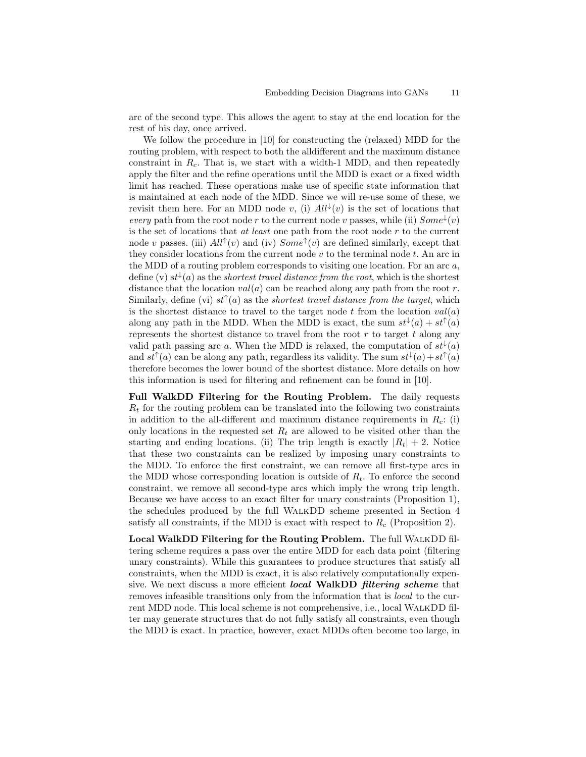arc of the second type. This allows the agent to stay at the end location for the rest of his day, once arrived.

We follow the procedure in [10] for constructing the (relaxed) MDD for the routing problem, with respect to both the alldifferent and the maximum distance constraint in  $R_c$ . That is, we start with a width-1 MDD, and then repeatedly apply the filter and the refine operations until the MDD is exact or a fixed width limit has reached. These operations make use of specific state information that is maintained at each node of the MDD. Since we will re-use some of these, we revisit them here. For an MDD node v, (i)  $All^{\downarrow}(v)$  is the set of locations that every path from the root node r to the current node v passes, while (ii)  $Some<sup>\downarrow</sup>(v)$ is the set of locations that at least one path from the root node r to the current node v passes. (iii)  $All^{\uparrow}(v)$  and (iv)  $Some^{\uparrow}(v)$  are defined similarly, except that they consider locations from the current node  $v$  to the terminal node  $t$ . An arc in the MDD of a routing problem corresponds to visiting one location. For an arc  $a$ , define (v)  $st^{\downarrow}(a)$  as the *shortest travel distance from the root*, which is the shortest distance that the location  $val(a)$  can be reached along any path from the root r. Similarly, define (vi)  $st^{\uparrow}(a)$  as the *shortest travel distance from the target*, which is the shortest distance to travel to the target node t from the location  $val(a)$ along any path in the MDD. When the MDD is exact, the sum  $st^{\downarrow}(a) + st^{\uparrow}(a)$ represents the shortest distance to travel from the root  $r$  to target  $t$  along any valid path passing arc a. When the MDD is relaxed, the computation of  $st^{\downarrow}(a)$ and  $st^{\uparrow}(a)$  can be along any path, regardless its validity. The sum  $st^{\downarrow}(a) + st^{\uparrow}(a)$ therefore becomes the lower bound of the shortest distance. More details on how this information is used for filtering and refinement can be found in [10].

Full WalkDD Filtering for the Routing Problem. The daily requests  $R_t$  for the routing problem can be translated into the following two constraints in addition to the all-different and maximum distance requirements in  $R_c$ : (i) only locations in the requested set  $R_t$  are allowed to be visited other than the starting and ending locations. (ii) The trip length is exactly  $|R_t| + 2$ . Notice that these two constraints can be realized by imposing unary constraints to the MDD. To enforce the first constraint, we can remove all first-type arcs in the MDD whose corresponding location is outside of  $R_t$ . To enforce the second constraint, we remove all second-type arcs which imply the wrong trip length. Because we have access to an exact filter for unary constraints (Proposition 1), the schedules produced by the full WalkDD scheme presented in Section 4 satisfy all constraints, if the MDD is exact with respect to  $R_c$  (Proposition 2).

Local WalkDD Filtering for the Routing Problem. The full WalkDD filtering scheme requires a pass over the entire MDD for each data point (filtering unary constraints). While this guarantees to produce structures that satisfy all constraints, when the MDD is exact, it is also relatively computationally expensive. We next discuss a more efficient **local WalkDD** filtering scheme that removes infeasible transitions only from the information that is local to the current MDD node. This local scheme is not comprehensive, i.e., local WalkDD filter may generate structures that do not fully satisfy all constraints, even though the MDD is exact. In practice, however, exact MDDs often become too large, in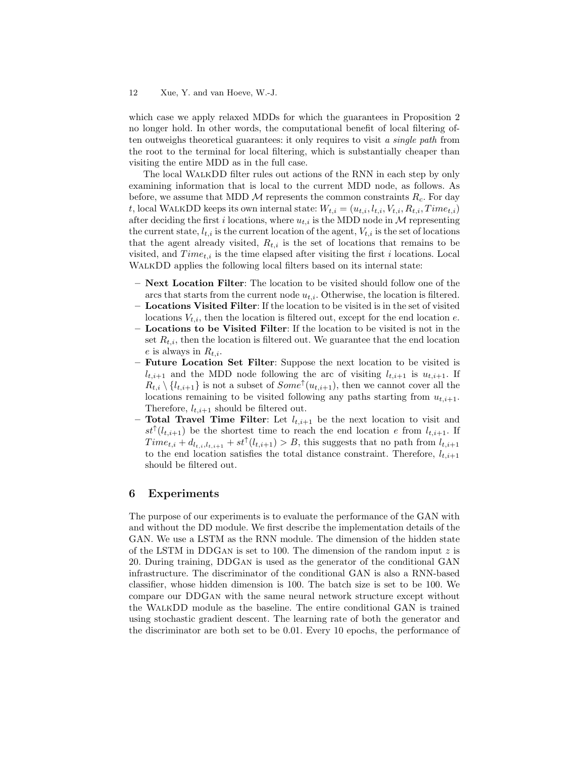which case we apply relaxed MDDs for which the guarantees in Proposition 2 no longer hold. In other words, the computational benefit of local filtering often outweighs theoretical guarantees: it only requires to visit a single path from the root to the terminal for local filtering, which is substantially cheaper than visiting the entire MDD as in the full case.

The local WalkDD filter rules out actions of the RNN in each step by only examining information that is local to the current MDD node, as follows. As before, we assume that MDD  $\mathcal M$  represents the common constraints  $R_c$ . For day t, local WALKDD keeps its own internal state:  $W_{t,i} = (u_{t,i}, l_{t,i}, V_{t,i}, R_{t,i}, Time_{t,i})$ after deciding the first i locations, where  $u_{t,i}$  is the MDD node in  $\mathcal M$  representing the current state,  $l_{t,i}$  is the current location of the agent,  $V_{t,i}$  is the set of locations that the agent already visited,  $R_{t,i}$  is the set of locations that remains to be visited, and  $Time_{t,i}$  is the time elapsed after visiting the first i locations. Local WalkDD applies the following local filters based on its internal state:

- Next Location Filter: The location to be visited should follow one of the arcs that starts from the current node  $u_{t,i}$ . Otherwise, the location is filtered.
- Locations Visited Filter: If the location to be visited is in the set of visited locations  $V_{t,i}$ , then the location is filtered out, except for the end location e.
- Locations to be Visited Filter: If the location to be visited is not in the set  $R_{t,i}$ , then the location is filtered out. We guarantee that the end location e is always in  $R_{t,i}$ .
- Future Location Set Filter: Suppose the next location to be visited is  $l_{t,i+1}$  and the MDD node following the arc of visiting  $l_{t,i+1}$  is  $u_{t,i+1}$ . If  $R_{t,i} \setminus \{l_{t,i+1}\}\$ is not a subset of  $Some^{\uparrow}(u_{t,i+1})$ , then we cannot cover all the locations remaining to be visited following any paths starting from  $u_{t,i+1}$ . Therefore,  $l_{t,i+1}$  should be filtered out.
- Total Travel Time Filter: Let  $l_{t,i+1}$  be the next location to visit and  $st^{\uparrow}(l_{t,i+1})$  be the shortest time to reach the end location e from  $l_{t,i+1}$ . If  $Time_{t,i} + d_{l_{t,i},l_{t,i+1}} + st^{\uparrow}(l_{t,i+1}) > B$ , this suggests that no path from  $l_{t,i+1}$ to the end location satisfies the total distance constraint. Therefore,  $l_{t,i+1}$ should be filtered out.

#### 6 Experiments

The purpose of our experiments is to evaluate the performance of the GAN with and without the DD module. We first describe the implementation details of the GAN. We use a LSTM as the RNN module. The dimension of the hidden state of the LSTM in DDGAN is set to 100. The dimension of the random input  $z$  is 20. During training, DDGan is used as the generator of the conditional GAN infrastructure. The discriminator of the conditional GAN is also a RNN-based classifier, whose hidden dimension is 100. The batch size is set to be 100. We compare our DDGan with the same neural network structure except without the WalkDD module as the baseline. The entire conditional GAN is trained using stochastic gradient descent. The learning rate of both the generator and the discriminator are both set to be 0.01. Every 10 epochs, the performance of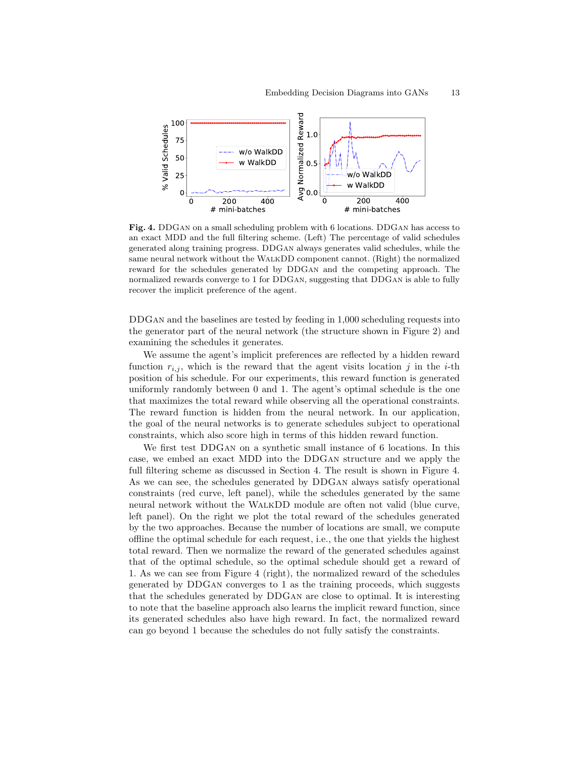

Fig. 4. DDGan on a small scheduling problem with 6 locations. DDGan has access to an exact MDD and the full filtering scheme. (Left) The percentage of valid schedules generated along training progress. DDGan always generates valid schedules, while the same neural network without the WalkDD component cannot. (Right) the normalized reward for the schedules generated by DDGan and the competing approach. The normalized rewards converge to 1 for DDGan, suggesting that DDGan is able to fully recover the implicit preference of the agent.

DDGan and the baselines are tested by feeding in 1,000 scheduling requests into the generator part of the neural network (the structure shown in Figure 2) and examining the schedules it generates.

We assume the agent's implicit preferences are reflected by a hidden reward function  $r_{i,j}$ , which is the reward that the agent visits location j in the *i*-th position of his schedule. For our experiments, this reward function is generated uniformly randomly between 0 and 1. The agent's optimal schedule is the one that maximizes the total reward while observing all the operational constraints. The reward function is hidden from the neural network. In our application, the goal of the neural networks is to generate schedules subject to operational constraints, which also score high in terms of this hidden reward function.

We first test DDGAN on a synthetic small instance of 6 locations. In this case, we embed an exact MDD into the DDGan structure and we apply the full filtering scheme as discussed in Section 4. The result is shown in Figure 4. As we can see, the schedules generated by DDGan always satisfy operational constraints (red curve, left panel), while the schedules generated by the same neural network without the WalkDD module are often not valid (blue curve, left panel). On the right we plot the total reward of the schedules generated by the two approaches. Because the number of locations are small, we compute offline the optimal schedule for each request, i.e., the one that yields the highest total reward. Then we normalize the reward of the generated schedules against that of the optimal schedule, so the optimal schedule should get a reward of 1. As we can see from Figure 4 (right), the normalized reward of the schedules generated by DDGan converges to 1 as the training proceeds, which suggests that the schedules generated by DDGan are close to optimal. It is interesting to note that the baseline approach also learns the implicit reward function, since its generated schedules also have high reward. In fact, the normalized reward can go beyond 1 because the schedules do not fully satisfy the constraints.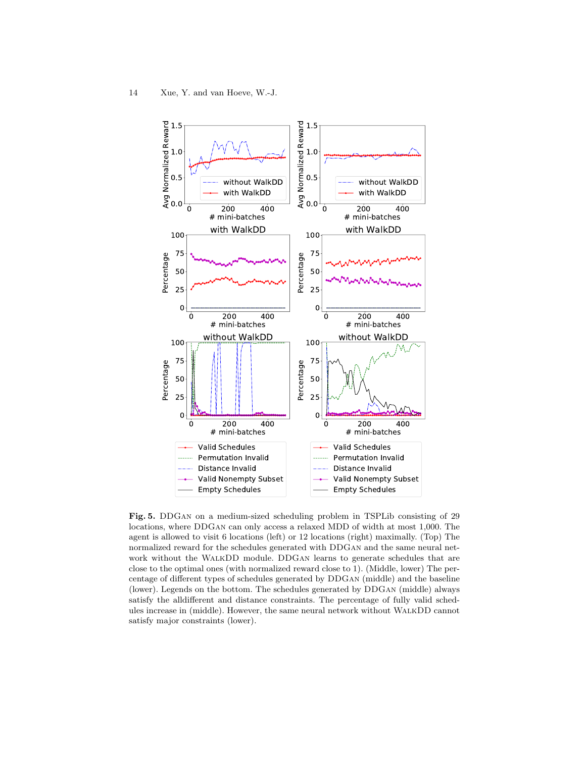

Fig. 5. DDGan on a medium-sized scheduling problem in TSPLib consisting of 29 locations, where DDGan can only access a relaxed MDD of width at most 1,000. The agent is allowed to visit 6 locations (left) or 12 locations (right) maximally. (Top) The normalized reward for the schedules generated with DDGan and the same neural network without the WalkDD module. DDGan learns to generate schedules that are close to the optimal ones (with normalized reward close to 1). (Middle, lower) The percentage of different types of schedules generated by DDGan (middle) and the baseline (lower). Legends on the bottom. The schedules generated by DDGan (middle) always satisfy the alldifferent and distance constraints. The percentage of fully valid schedules increase in (middle). However, the same neural network without WalkDD cannot satisfy major constraints (lower).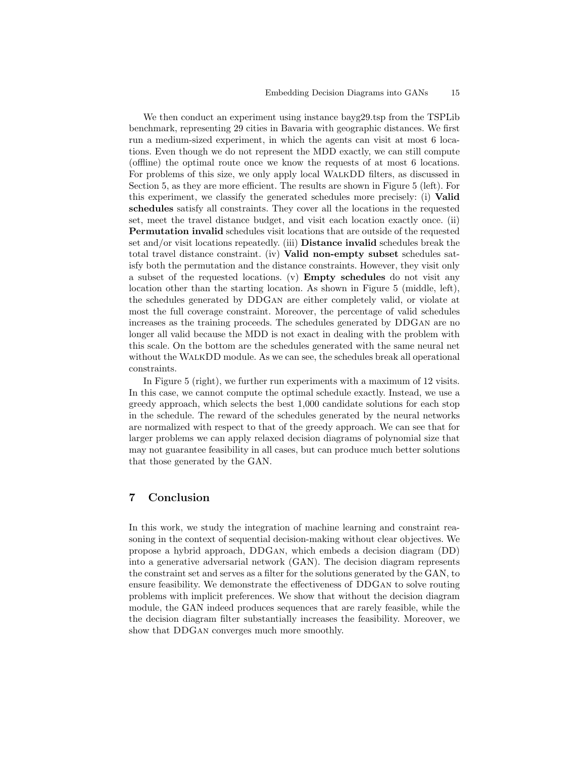We then conduct an experiment using instance bayg29.tsp from the TSPLib benchmark, representing 29 cities in Bavaria with geographic distances. We first run a medium-sized experiment, in which the agents can visit at most 6 locations. Even though we do not represent the MDD exactly, we can still compute (offline) the optimal route once we know the requests of at most 6 locations. For problems of this size, we only apply local WalkDD filters, as discussed in Section 5, as they are more efficient. The results are shown in Figure 5 (left). For this experiment, we classify the generated schedules more precisely: (i) Valid schedules satisfy all constraints. They cover all the locations in the requested set, meet the travel distance budget, and visit each location exactly once. (ii) Permutation invalid schedules visit locations that are outside of the requested set and/or visit locations repeatedly. (iii) Distance invalid schedules break the total travel distance constraint. (iv) Valid non-empty subset schedules satisfy both the permutation and the distance constraints. However, they visit only a subset of the requested locations. (v) Empty schedules do not visit any location other than the starting location. As shown in Figure 5 (middle, left), the schedules generated by DDGan are either completely valid, or violate at most the full coverage constraint. Moreover, the percentage of valid schedules increases as the training proceeds. The schedules generated by DDGan are no longer all valid because the MDD is not exact in dealing with the problem with this scale. On the bottom are the schedules generated with the same neural net without the WalkDD module. As we can see, the schedules break all operational constraints.

In Figure 5 (right), we further run experiments with a maximum of 12 visits. In this case, we cannot compute the optimal schedule exactly. Instead, we use a greedy approach, which selects the best 1,000 candidate solutions for each stop in the schedule. The reward of the schedules generated by the neural networks are normalized with respect to that of the greedy approach. We can see that for larger problems we can apply relaxed decision diagrams of polynomial size that may not guarantee feasibility in all cases, but can produce much better solutions that those generated by the GAN.

#### 7 Conclusion

In this work, we study the integration of machine learning and constraint reasoning in the context of sequential decision-making without clear objectives. We propose a hybrid approach, DDGan, which embeds a decision diagram (DD) into a generative adversarial network (GAN). The decision diagram represents the constraint set and serves as a filter for the solutions generated by the GAN, to ensure feasibility. We demonstrate the effectiveness of DDGan to solve routing problems with implicit preferences. We show that without the decision diagram module, the GAN indeed produces sequences that are rarely feasible, while the the decision diagram filter substantially increases the feasibility. Moreover, we show that DDGan converges much more smoothly.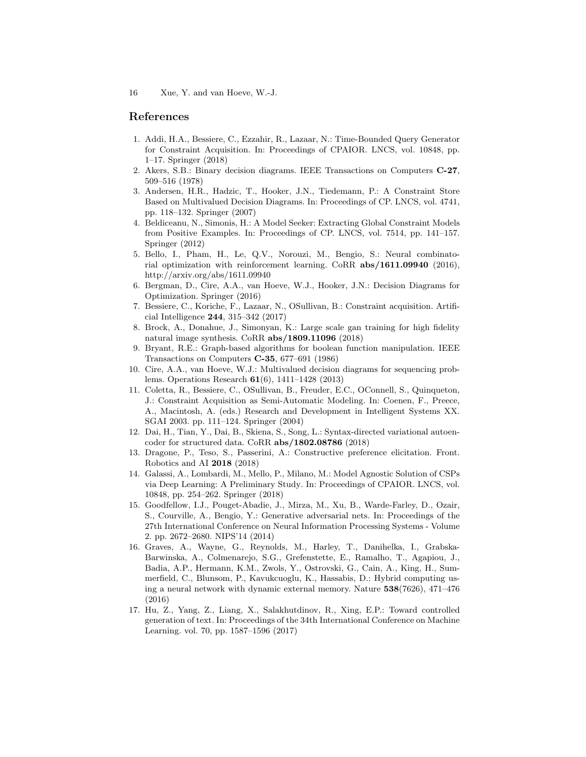# References

- 1. Addi, H.A., Bessiere, C., Ezzahir, R., Lazaar, N.: Time-Bounded Query Generator for Constraint Acquisition. In: Proceedings of CPAIOR. LNCS, vol. 10848, pp. 1–17. Springer (2018)
- 2. Akers, S.B.: Binary decision diagrams. IEEE Transactions on Computers C-27, 509–516 (1978)
- 3. Andersen, H.R., Hadzic, T., Hooker, J.N., Tiedemann, P.: A Constraint Store Based on Multivalued Decision Diagrams. In: Proceedings of CP. LNCS, vol. 4741, pp. 118–132. Springer (2007)
- 4. Beldiceanu, N., Simonis, H.: A Model Seeker: Extracting Global Constraint Models from Positive Examples. In: Proceedings of CP. LNCS, vol. 7514, pp. 141–157. Springer (2012)
- 5. Bello, I., Pham, H., Le, Q.V., Norouzi, M., Bengio, S.: Neural combinatorial optimization with reinforcement learning. CoRR abs/1611.09940 (2016), http://arxiv.org/abs/1611.09940
- 6. Bergman, D., Cire, A.A., van Hoeve, W.J., Hooker, J.N.: Decision Diagrams for Optimization. Springer (2016)
- 7. Bessiere, C., Koriche, F., Lazaar, N., OSullivan, B.: Constraint acquisition. Artificial Intelligence 244, 315–342 (2017)
- 8. Brock, A., Donahue, J., Simonyan, K.: Large scale gan training for high fidelity natural image synthesis. CoRR abs/1809.11096 (2018)
- 9. Bryant, R.E.: Graph-based algorithms for boolean function manipulation. IEEE Transactions on Computers C-35, 677–691 (1986)
- 10. Cire, A.A., van Hoeve, W.J.: Multivalued decision diagrams for sequencing problems. Operations Research 61(6), 1411–1428 (2013)
- 11. Coletta, R., Bessiere, C., OSullivan, B., Freuder, E.C., OConnell, S., Quinqueton, J.: Constraint Acquisition as Semi-Automatic Modeling. In: Coenen, F., Preece, A., Macintosh, A. (eds.) Research and Development in Intelligent Systems XX. SGAI 2003. pp. 111–124. Springer (2004)
- 12. Dai, H., Tian, Y., Dai, B., Skiena, S., Song, L.: Syntax-directed variational autoencoder for structured data. CoRR abs/1802.08786 (2018)
- 13. Dragone, P., Teso, S., Passerini, A.: Constructive preference elicitation. Front. Robotics and AI 2018 (2018)
- 14. Galassi, A., Lombardi, M., Mello, P., Milano, M.: Model Agnostic Solution of CSPs via Deep Learning: A Preliminary Study. In: Proceedings of CPAIOR. LNCS, vol. 10848, pp. 254–262. Springer (2018)
- 15. Goodfellow, I.J., Pouget-Abadie, J., Mirza, M., Xu, B., Warde-Farley, D., Ozair, S., Courville, A., Bengio, Y.: Generative adversarial nets. In: Proceedings of the 27th International Conference on Neural Information Processing Systems - Volume 2. pp. 2672–2680. NIPS'14 (2014)
- 16. Graves, A., Wayne, G., Reynolds, M., Harley, T., Danihelka, I., Grabska-Barwinska, A., Colmenarejo, S.G., Grefenstette, E., Ramalho, T., Agapiou, J., Badia, A.P., Hermann, K.M., Zwols, Y., Ostrovski, G., Cain, A., King, H., Summerfield, C., Blunsom, P., Kavukcuoglu, K., Hassabis, D.: Hybrid computing using a neural network with dynamic external memory. Nature 538(7626), 471–476 (2016)
- 17. Hu, Z., Yang, Z., Liang, X., Salakhutdinov, R., Xing, E.P.: Toward controlled generation of text. In: Proceedings of the 34th International Conference on Machine Learning. vol. 70, pp. 1587–1596 (2017)